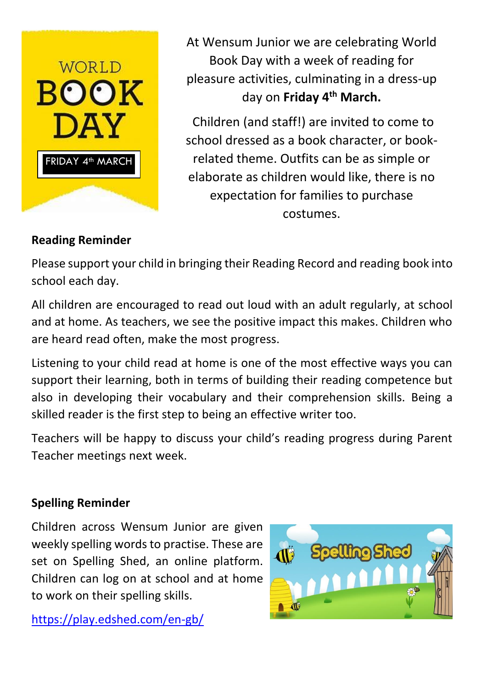

At Wensum Junior we are celebrating World Book Day with a week of reading for pleasure activities, culminating in a dress-up day on **Friday 4th March.**

Children (and staff!) are invited to come to school dressed as a book character, or bookrelated theme. Outfits can be as simple or elaborate as children would like, there is no expectation for families to purchase costumes.

## **Reading Reminder**

Please support your child in bringing their Reading Record and reading book into school each day.

All children are encouraged to read out loud with an adult regularly, at school and at home. As teachers, we see the positive impact this makes. Children who are heard read often, make the most progress.

Listening to your child read at home is one of the most effective ways you can support their learning, both in terms of building their reading competence but also in developing their vocabulary and their comprehension skills. Being a skilled reader is the first step to being an effective writer too.

Teachers will be happy to discuss your child's reading progress during Parent Teacher meetings next week.

## **Spelling Reminder**

Children across Wensum Junior are given weekly spelling words to practise. These are set on Spelling Shed, an online platform. Children can log on at school and at home to work on their spelling skills.

<https://play.edshed.com/en-gb/>